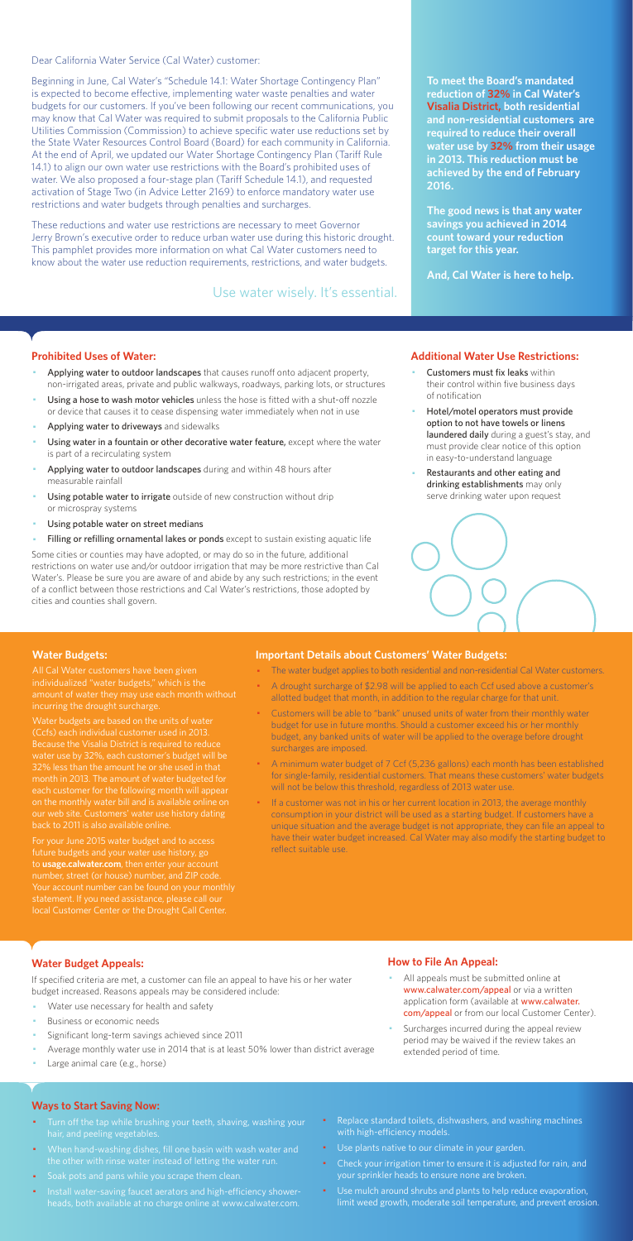Dear California Water Service (Cal Water) customer:

Beginning in June, Cal Water's "Schedule 14.1: Water Shortage Contingency Plan" is expected to become effective, implementing water waste penalties and water budgets for our customers. If you've been following our recent communications, you may know that Cal Water was required to submit proposals to the California Public Utilities Commission (Commission) to achieve specific water use reductions set by the State Water Resources Control Board (Board) for each community in California. At the end of April, we updated our Water Shortage Contingency Plan (Tariff Rule 14.1) to align our own water use restrictions with the Board's prohibited uses of water. We also proposed a four-stage plan (Tariff Schedule 14.1), and requested activation of Stage Two (in Advice Letter 2169) to enforce mandatory water use restrictions and water budgets through penalties and surcharges.

These reductions and water use restrictions are necessary to meet Governor Jerry Brown's executive order to reduce urban water use during this historic drought. This pamphlet provides more information on what Cal Water customers need to know about the water use reduction requirements, restrictions, and water budgets.

#### **Prohibited Uses of Water:**

- Applying water to outdoor landscapes that causes runoff onto adjacent property, non-irrigated areas, private and public walkways, roadways, parking lots, or structures
- Using a hose to wash motor vehicles unless the hose is fitted with a shut-off nozzle or device that causes it to cease dispensing water immediately when not in use
- Applying water to driveways and sidewalks
- Using water in a fountain or other decorative water feature, except where the water is part of a recirculating system
- Applying water to outdoor landscapes during and within 48 hours after measurable rainfall
- Using potable water to irrigate outside of new construction without drip or microspray systems
- Using potable water on street medians
- Filling or refilling ornamental lakes or ponds except to sustain existing aquatic life
- Customers must fix leaks within their control within five business days of notification
- Hotel/motel operators must provide option to not have towels or linens laundered daily during a guest's stay, and must provide clear notice of this option in easy-to-understand language
- Restaurants and other eating and drinking establishments may only serve drinking water upon request



- All appeals must be submitted online at www.calwater.com/appeal or via a written application form (available at www.calwater. com/appeal or from our local Customer Center).
- · Surcharges incurred during the appeal review period may be waived if the review takes an extended period of time.

Some cities or counties may have adopted, or may do so in the future, additional restrictions on water use and/or outdoor irrigation that may be more restrictive than Cal Water's. Please be sure you are aware of and abide by any such restrictions; in the event of a conflict between those restrictions and Cal Water's restrictions, those adopted by cities and counties shall govern.

- Turn off the tap while brushing your teeth, shaving, washing your hair, and peeling vegetables.
- · When hand-washing dishes, fill one basin with wash water and the other with rinse water instead of letting the water run.
- · Soak pots and pans while you scrape them clean.
- · Install water-saving faucet aerators and high-efficiency showerheads, both available at no charge online at www.calwater.com.
- Replace standard toilets, dishwashers, and washing machines with high-efficiency models.
- · Use plants native to our climate in your garden.
- Check your irrigation timer to ensure it is adjusted for rain, and your sprinkler heads to ensure none are broken.
- · Use mulch around shrubs and plants to help reduce evaporation, limit weed growth, moderate soil temperature, and prevent erosion.

**To meet the Board's mandated reduction of 32% in Cal Water's Visalia District, both residential and non-residential customers are required to reduce their overall water use by 32% from their usage in 2013. This reduction must be achieved by the end of February 2016.** 

**The good news is that any water savings you achieved in 2014 count toward your reduction target for this year.** 

**And, Cal Water is here to help.** 

#### **Additional Water Use Restrictions:**

## **Water Budget Appeals:**

If specified criteria are met, a customer can file an appeal to have his or her water budget increased. Reasons appeals may be considered include:

- Water use necessary for health and safety
- Business or economic needs
- Significant long-term savings achieved since 2011
- Average monthly water use in 2014 that is at least 50% lower than district average
- Large animal care (e.g., horse)

If a customer was not in his or her current location in 2013, the average monthly consumption in your district will be used as a starting budget. If customers have a unique situation and the average budget is not appropriate, they can file an appeal to have their water budget increased. Cal Water may also modify the starting budget to reflect suitable use.

## **How to File An Appeal:**

#### **Ways to Start Saving Now:**

Use water wisely. It's essential.

#### **Water Budgets:**

individualized "water budgets," which is the incurring the drought surcharge.

Water budgets are based on the units of water (Ccfs) each individual customer used in 2013. water use by 32%, each customer's budget will be month in 2013. The amount of water budgeted for each customer for the following month will appea on the monthly water bill and is available online on

For your June 2015 water budget and to access future budgets and your water use history, go to **usage.calwater.com**, then enter your account number, street (or house) number, and ZIP code. local Customer Center or the Drought Call Center.

#### **Important Details about Customers' Water Budgets:**

- · The water budget applies to both residential and non-residential Cal Water customers.
- A drought surcharge of \$2.98 will be applied to each Ccf used above a customer's allotted budget that month, in addition to the regular charge for that unit.
- · Customers will be able to "bank" unused units of water from their monthly water budget for use in future months. Should a customer exceed his or her monthly budget, any banked units of water will be applied to the overage before drought surcharges are imposed.
- · A minimum water budget of 7 Ccf (5,236 gallons) each month has been established for single-family, residential customers. That means these customers' water budgets will not be below this threshold, regardless of 2013 water use.